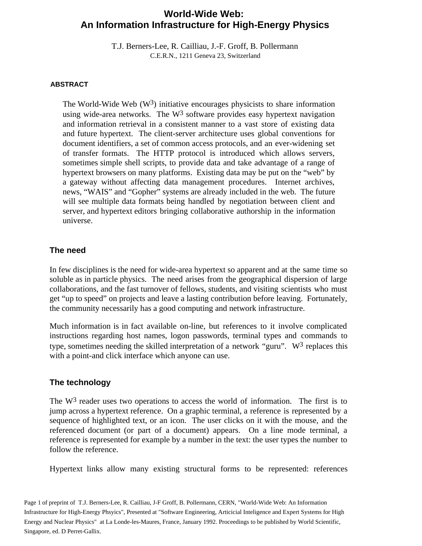# **World-Wide Web: An Information Infrastructure for High-Energy Physics**

T.J. Berners-Lee, R. Cailliau, J.-F. Groff, B. Pollermann C.E.R.N., 1211 Geneva 23, Switzerland

#### **ABSTRACT**

The World-Wide Web  $(W^3)$  initiative encourages physicists to share information using wide-area networks. The  $W^3$  software provides easy hypertext navigation and information retrieval in a consistent manner to a vast store of existing data and future hypertext. The client-server architecture uses global conventions for document identifiers, a set of common access protocols, and an ever-widening set of transfer formats. The HTTP protocol is introduced which allows servers, sometimes simple shell scripts, to provide data and take advantage of a range of hypertext browsers on many platforms. Existing data may be put on the "web" by a gateway without affecting data management procedures. Internet archives, news, "WAIS" and "Gopher" systems are already included in the web. The future will see multiple data formats being handled by negotiation between client and server, and hypertext editors bringing collaborative authorship in the information universe.

#### **The need**

In few disciplines is the need for wide-area hypertext so apparent and at the same time so soluble as in particle physics. The need arises from the geographical dispersion of large collaborations, and the fast turnover of fellows, students, and visiting scientists who must get "up to speed" on projects and leave a lasting contribution before leaving. Fortunately, the community necessarily has a good computing and network infrastructure.

Much information is in fact available on-line, but references to it involve complicated instructions regarding host names, logon passwords, terminal types and commands to type, sometimes needing the skilled interpretation of a network "guru".  $W^3$  replaces this with a point-and click interface which anyone can use.

#### **The technology**

The  $W<sup>3</sup>$  reader uses two operations to access the world of information. The first is to jump across a hypertext reference. On a graphic terminal, a reference is represented by a sequence of highlighted text, or an icon. The user clicks on it with the mouse, and the referenced document (or part of a document) appears. On a line mode terminal, a reference is represented for example by a number in the text: the user types the number to follow the reference.

Hypertext links allow many existing structural forms to be represented: references

Page 1 of preprint of T.J. Berners-Lee, R. Cailliau, J-F Groff, B. Pollermann, CERN, "World-Wide Web: An Information Infrastructure for High-Energy Phsyics", Presented at "Software Engineering, Articicial Inteligence and Expert Systems for High Energy and Nuclear Physics" at La Londe-les-Maures, France, January 1992. Proceedings to be published by World Scientific, Singapore, ed. D Perret-Gallix.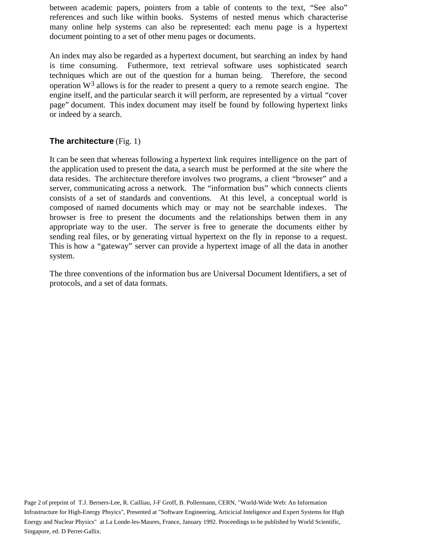between academic papers, pointers from a table of contents to the text, "See also" references and such like within books. Systems of nested menus which characterise many online help systems can also be represented: each menu page is a hypertext document pointing to a set of other menu pages or documents.

An index may also be regarded as a hypertext document, but searching an index by hand is time consuming. Futhermore, text retrieval software uses sophisticated search techniques which are out of the question for a human being. Therefore, the second operation  $W<sup>3</sup>$  allows is for the reader to present a query to a remote search engine. The engine itself, and the particular search it will perform, are represented by a virtual "cover page" document. This index document may itself be found by following hypertext links or indeed by a search.

## **The architecture** (Fig. 1)

It can be seen that whereas following a hypertext link requires intelligence on the part of the application used to present the data, a search must be performed at the site where the data resides. The architecture therefore involves two programs, a client "browser" and a server, communicating across a network. The "information bus" which connects clients consists of a set of standards and conventions. At this level, a conceptual world is composed of named documents which may or may not be searchable indexes. The browser is free to present the documents and the relationships betwen them in any appropriate way to the user. The server is free to generate the documents either by sending real files, or by generating virtual hypertext on the fly in reponse to a request. This is how a "gateway" server can provide a hypertext image of all the data in another system.

The three conventions of the information bus are Universal Document Identifiers, a set of protocols, and a set of data formats.

Page 2 of preprint of T.J. Berners-Lee, R. Cailliau, J-F Groff, B. Pollermann, CERN, "World-Wide Web: An Information Infrastructure for High-Energy Phsyics", Presented at "Software Engineering, Articicial Inteligence and Expert Systems for High Energy and Nuclear Physics" at La Londe-les-Maures, France, January 1992. Proceedings to be published by World Scientific, Singapore, ed. D Perret-Gallix.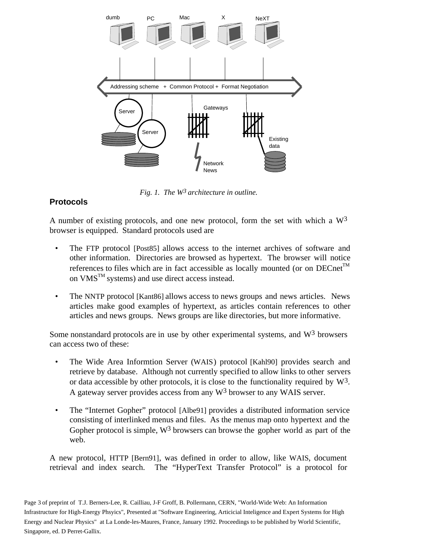

*Fig. 1. The W3 architecture in outline.*

## **Protocols**

A number of existing protocols, and one new protocol, form the set with which a  $W<sup>3</sup>$ browser is equipped. Standard protocols used are

- The FTP protocol [Post85] allows access to the internet archives of software and other information. Directories are browsed as hypertext. The browser will notice references to files which are in fact accessible as locally mounted (or on  $DECnet^{TM}$ on  $VMS^{TM}$  systems) and use direct access instead.
- The NNTP protocol [Kant86] allows access to news groups and news articles. News articles make good examples of hypertext, as articles contain references to other articles and news groups. News groups are like directories, but more informative.

Some nonstandard protocols are in use by other experimental systems, and W3 browsers can access two of these:

- The Wide Area Informtion Server (WAIS) protocol [Kahl90] provides search and retrieve by database. Although not currently specified to allow links to other servers or data accessible by other protocols, it is close to the functionality required by  $W^3$ . A gateway server provides access from any  $W^3$  browser to any WAIS server.
- The "Internet Gopher" protocol [Albe91] provides a distributed information service consisting of interlinked menus and files. As the menus map onto hypertext and the Gopher protocol is simple,  $W^3$  browsers can browse the gopher world as part of the web.

A new protocol, HTTP [Bern91], was defined in order to allow, like WAIS, document retrieval and index search. The "HyperText Transfer Protocol" is a protocol for

Page 3 of preprint of T.J. Berners-Lee, R. Cailliau, J-F Groff, B. Pollermann, CERN, "World-Wide Web: An Information Infrastructure for High-Energy Phsyics", Presented at "Software Engineering, Articicial Inteligence and Expert Systems for High Energy and Nuclear Physics" at La Londe-les-Maures, France, January 1992. Proceedings to be published by World Scientific, Singapore, ed. D Perret-Gallix.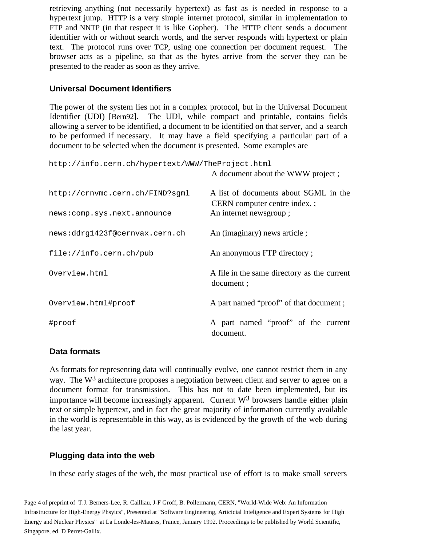retrieving anything (not necessarily hypertext) as fast as is needed in response to a hypertext jump. HTTP is a very simple internet protocol, similar in implementation to FTP and NNTP (in that respect it is like Gopher). The HTTP client sends a document identifier with or without search words, and the server responds with hypertext or plain text. The protocol runs over TCP, using one connection per document request. The browser acts as a pipeline, so that as the bytes arrive from the server they can be presented to the reader as soon as they arrive.

### **Universal Document Identifiers**

The power of the system lies not in a complex protocol, but in the Universal Document Identifier (UDI) [Bern92]. The UDI, while compact and printable, contains fields allowing a server to be identified, a document to be identified on that server, and a search to be performed if necessary. It may have a field specifying a particular part of a document to be selected when the document is presented. Some examples are

http://info.cern.ch/hypertext/WWW/TheProject.html

A document about the WWW project ;

| http://crnvmc.cern.ch/FIND?sqml<br>news: comp.sys.next.announce | A list of documents about SGML in the<br>CERN computer centre index.;<br>An internet newsgroup; |
|-----------------------------------------------------------------|-------------------------------------------------------------------------------------------------|
| news:ddrg1423f@cernvax.cern.ch                                  | An (imaginary) news article;                                                                    |
| file://info.cern.ch/public                                      | An anonymous FTP directory;                                                                     |
| Overview.html                                                   | A file in the same directory as the current<br>document;                                        |
| Overview.html#proof                                             | A part named "proof" of that document;                                                          |
| #proof                                                          | A part named "proof" of the current<br>document.                                                |

#### **Data formats**

As formats for representing data will continually evolve, one cannot restrict them in any way. The W<sup>3</sup> architecture proposes a negotiation between client and server to agree on a document format for transmission. This has not to date been implemented, but its importance will become increasingly apparent. Current  $W<sup>3</sup>$  browsers handle either plain text or simple hypertext, and in fact the great majority of information currently available in the world is representable in this way, as is evidenced by the growth of the web during the last year.

## **Plugging data into the web**

In these early stages of the web, the most practical use of effort is to make small servers

Page 4 of preprint of T.J. Berners-Lee, R. Cailliau, J-F Groff, B. Pollermann, CERN, "World-Wide Web: An Information Infrastructure for High-Energy Phsyics", Presented at "Software Engineering, Articicial Inteligence and Expert Systems for High Energy and Nuclear Physics" at La Londe-les-Maures, France, January 1992. Proceedings to be published by World Scientific, Singapore, ed. D Perret-Gallix.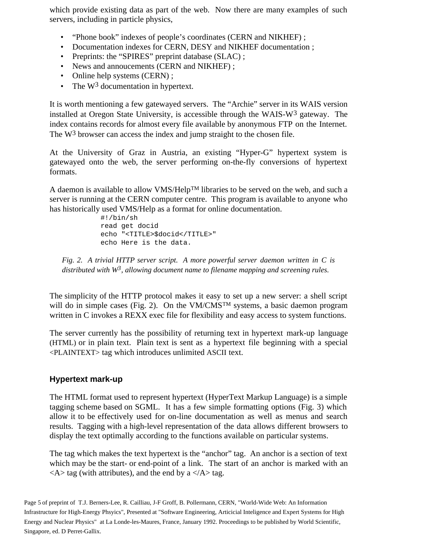which provide existing data as part of the web. Now there are many examples of such servers, including in particle physics,

- "Phone book" indexes of people's coordinates (CERN and NIKHEF) ;
- Documentation indexes for CERN, DESY and NIKHEF documentation ;
- Preprints: the "SPIRES" preprint database (SLAC) ;
- News and annoucements (CERN and NIKHEF);
- Online help systems (CERN);
- The  $W^3$  documentation in hypertext.

It is worth mentioning a few gatewayed servers. The "Archie" server in its WAIS version installed at Oregon State University, is accessible through the WAIS- $W<sup>3</sup>$  gateway. The index contains records for almost every file available by anonymous FTP on the Internet. The W<sup>3</sup> browser can access the index and jump straight to the chosen file.

At the University of Graz in Austria, an existing "Hyper-G" hypertext system is gatewayed onto the web, the server performing on-the-fly conversions of hypertext formats.

A daemon is available to allow VMS/HelpTM libraries to be served on the web, and such a server is running at the CERN computer centre. This program is available to anyone who has historically used VMS/Help as a format for online documentation.

> #!/bin/sh read get docid echo "<TITLE>\$docid</TITLE>" echo Here is the data.

*Fig. 2. A trivial HTTP server script. A more powerful server daemon written in C is distributed with W3, allowing document name to filename mapping and screening rules.*

The simplicity of the HTTP protocol makes it easy to set up a new server: a shell script will do in simple cases (Fig. 2). On the  $VM/CMS^{TM}$  systems, a basic daemon program written in C invokes a REXX exec file for flexibility and easy access to system functions.

The server currently has the possibility of returning text in hypertext mark-up language (HTML) or in plain text. Plain text is sent as a hypertext file beginning with a special <PLAINTEXT> tag which introduces unlimited ASCII text.

## **Hypertext mark-up**

The HTML format used to represent hypertext (HyperText Markup Language) is a simple tagging scheme based on SGML. It has a few simple formatting options (Fig. 3) which allow it to be effectively used for on-line documentation as well as menus and search results. Tagging with a high-level representation of the data allows different browsers to display the text optimally according to the functions available on particular systems.

The tag which makes the text hypertext is the "anchor" tag. An anchor is a section of text which may be the start- or end-point of a link. The start of an anchor is marked with an  $\langle A \rangle$  tag (with attributes), and the end by a  $\langle A \rangle$  tag.

Page 5 of preprint of T.J. Berners-Lee, R. Cailliau, J-F Groff, B. Pollermann, CERN, "World-Wide Web: An Information Infrastructure for High-Energy Phsyics", Presented at "Software Engineering, Articicial Inteligence and Expert Systems for High Energy and Nuclear Physics" at La Londe-les-Maures, France, January 1992. Proceedings to be published by World Scientific, Singapore, ed. D Perret-Gallix.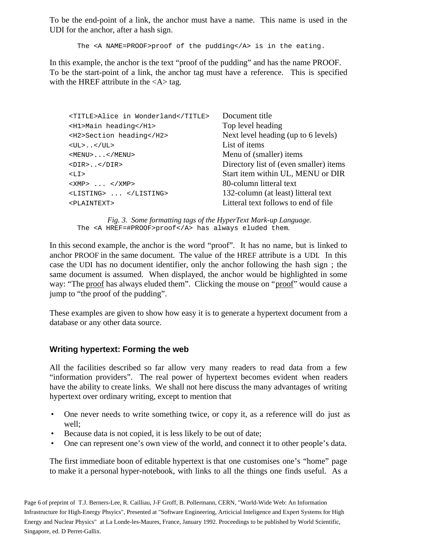To be the end-point of a link, the anchor must have a name. This name is used in the UDI for the anchor, after a hash sign.

The <A NAME=PROOF>proof of the pudding</A> is in the eating.

In this example, the anchor is the text "proof of the pudding" and has the name PROOF. To be the start-point of a link, the anchor tag must have a reference. This is specified with the HREF attribute in the  $\langle A \rangle$  tag.

| <title>Alice in Wonderland</title> | Document title                         |
|------------------------------------|----------------------------------------|
| <h1>Main heading</h1>              | Top level heading                      |
| <h2>Section heading</h2>           | Next level heading (up to 6 levels)    |
| $\langle$ UL> $\langle$ /UL>       | List of items                          |
| $<$ MENU> $\ldots$ < /MENU>        | Menu of (smaller) items                |
| $<$ DIR> $<$ /DIR>                 | Directory list of (even smaller) items |
| $<$ LI>                            | Start item within UL, MENU or DIR      |
| $<$ XMP> $\ldots$ $<$ /XMP>        | 80-column litteral text                |
| <listing> </listing>               | 132-column (at least) litteral text    |
| <plaintext></plaintext>            | Litteral text follows to end of file.  |
|                                    |                                        |

*Fig. 3. Some formatting tags of the HyperText Mark-up Language.* The <A HREF=#PROOF>proof</A> has always eluded them.

In this second example, the anchor is the word "proof". It has no name, but is linked to anchor PROOF in the same document. The value of the HREF attribute is a UDI. In this case the UDI has no document identifier, only the anchor following the hash sign ; the same document is assumed. When displayed, the anchor would be highlighted in some way: "The proof has always eluded them". Clicking the mouse on "proof" would cause a jump to "the proof of the pudding".

These examples are given to show how easy it is to generate a hypertext document from a database or any other data source.

## **Writing hypertext: Forming the web**

All the facilities described so far allow very many readers to read data from a few "information providers". The real power of hypertext becomes evident when readers have the ability to create links. We shall not here discuss the many advantages of writing hypertext over ordinary writing, except to mention that

- One never needs to write something twice, or copy it, as a reference will do just as well;
- Because data is not copied, it is less likely to be out of date;
- One can represent one's own view of the world, and connect it to other people's data.

The first immediate boon of editable hypertext is that one customises one's "home" page to make it a personal hyper-notebook, with links to all the things one finds useful. As a

Page 6 of preprint of T.J. Berners-Lee, R. Cailliau, J-F Groff, B. Pollermann, CERN, "World-Wide Web: An Information Infrastructure for High-Energy Phsyics", Presented at "Software Engineering, Articicial Inteligence and Expert Systems for High Energy and Nuclear Physics" at La Londe-les-Maures, France, January 1992. Proceedings to be published by World Scientific, Singapore, ed. D Perret-Gallix.